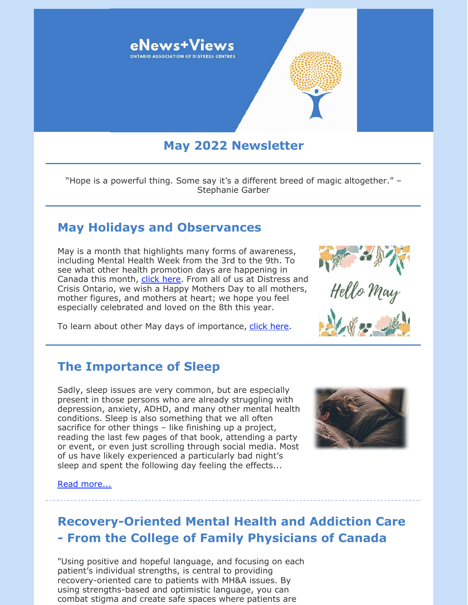

# **May 2022 Newsletter**

"Hope is a powerful thing. Some say it's a different breed of magic altogether." – Stephanie Garber

### **May Holidays and Observances**

May is a month that highlights many forms of awareness, including Mental Health Week from the 3rd to the 9th. To see what other health promotion days are happening in Canada this month, [click here](https://www.canada.ca/en/health-canada/services/calendar-health-promotion-days.html#m05). From all of us at Distress and Crisis Ontario, we wish a Happy Mothers Day to all mothers, mother figures, and mothers at heart; we hope you feel especially celebrated and loved on the 8th this year.

To learn about other May days of importance, [click here](https://www.wincalendar.com/Calendar-Canada/May-2022).

### **The Importance of Sleep**

Sadly, sleep issues are very common, but are especially present in those persons who are already struggling with depression, anxiety, ADHD, and many other mental health conditions. Sleep is also something that we all often sacrifice for other things – like finishing up a project, reading the last few pages of that book, attending a party or event, or even just scrolling through social media. Most of us have likely experienced a particularly bad night's sleep and spent the following day feeling the effects...



#### [Read more...](https://files.constantcontact.com/0fb3237d001/bf1058af-44e6-4f9d-b9b8-d1b20ab789b8.pdf)

## **Recovery-Oriented Mental Health and Addiction Care - From the College of Family Physicians of Canada**

"Using positive and hopeful language, and focusing on each patient's individual strengths, is central to providing recovery-oriented care to patients with MH&A issues. By using strengths-based and optimistic language, you can combat stigma and create safe spaces where patients are

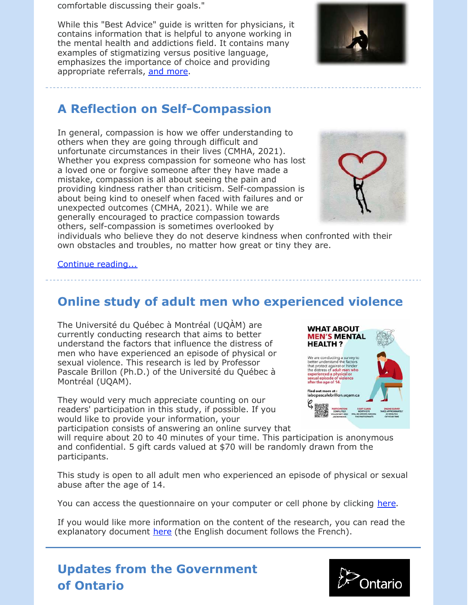comfortable discussing their goals."

While this "Best Advice" guide is written for physicians, it contains information that is helpful to anyone working in the mental health and addictions field. It contains many examples of stigmatizing versus positive language, emphasizes the importance of choice and providing appropriate referrals, [and more](https://files.constantcontact.com/0fb3237d001/c0a42886-3075-446b-b77a-e3e3e0f947d2.pdf).



# **A Reflection on Self-Compassion**

In general, compassion is how we offer understanding to others when they are going through difficult and unfortunate circumstances in their lives (CMHA, 2021). Whether you express compassion for someone who has lost a loved one or forgive someone after they have made a mistake, compassion is all about seeing the pain and providing kindness rather than criticism. Self-compassion is about being kind to oneself when faced with failures and or unexpected outcomes (CMHA, 2021). While we are generally encouraged to practice compassion towards others, self-compassion is sometimes overlooked by



individuals who believe they do not deserve kindness when confronted with their own obstacles and troubles, no matter how great or tiny they are.

[Continue reading...](https://files.constantcontact.com/0fb3237d001/b93433b5-4065-4766-8c55-1bf7366dd492.pdf)

# **Online study of adult men who experienced violence**

The Université du Québec à Montréal (UQÀM) are currently conducting research that aims to better understand the factors that influence the distress of men who have experienced an episode of physical or sexual violence. This research is led by Professor Pascale Brillon (Ph.D.) of the Université du Québec à Montréal (UQAM).

They would very much appreciate counting on our readers' participation in this study, if possible. If you would like to provide your information, your participation consists of answering an online survey that



will require about 20 to 40 minutes of your time. This participation is anonymous and confidential. 5 gift cards valued at \$70 will be randomly drawn from the participants.

This study is open to all adult men who experienced an episode of physical or sexual abuse after the age of 14.

You can access the questionnaire on your computer or cell phone by clicking [here](https://uqamfsh.ca1.qualtrics.com/jfe/form/SV_9ylChHxaKnzrkIm).

If you would like more information on the content of the research, you can read the explanatory document [here](https://files.constantcontact.com/0fb3237d001/22d4b849-0984-433e-9f55-855dd74fbaa3.pdf) (the English document follows the French).



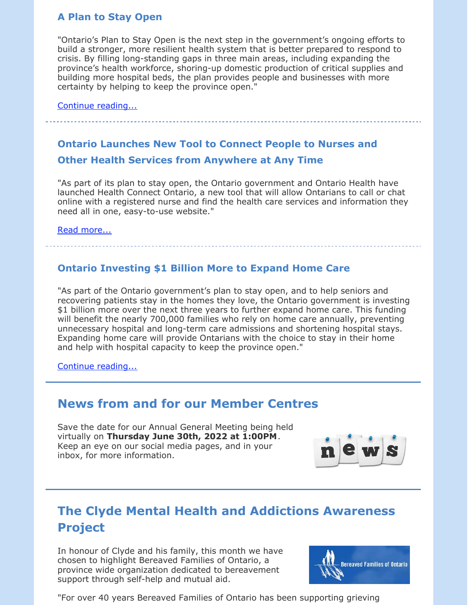### **A Plan to Stay Open**

"Ontario's Plan to Stay Open is the next step in the government's ongoing efforts to build a stronger, more resilient health system that is better prepared to respond to crisis. By filling long-standing gaps in three main areas, including expanding the province's health workforce, shoring-up domestic production of critical supplies and building more hospital beds, the plan provides people and businesses with more certainty by helping to keep the province open."

[Continue reading...](https://news.ontario.ca/en/backgrounder/1002024/a-plan-to-stay-open)

### **Ontario Launches New Tool to Connect People to Nurses and**

### **Other Health Services from Anywhere at Any Time**

"As part of its plan to stay open, the Ontario government and Ontario Health have launched Health Connect Ontario, a new tool that will allow Ontarians to call or chat online with a registered nurse and find the health care services and information they need all in one, easy-to-use website."

#### [Read more...](https://news.ontario.ca/en/release/1002095/ontario-launches-new-tool-to-connect-people-to-nurses-and-other-health-services-from-anywhere-at-any-time)

### **Ontario Investing \$1 Billion More to Expand Home Care**

"As part of the Ontario government's plan to stay open, and to help seniors and recovering patients stay in the homes they love, the Ontario government is investing \$1 billion more over the next three years to further expand home care. This funding will benefit the nearly 700,000 families who rely on home care annually, preventing unnecessary hospital and long-term care admissions and shortening hospital stays. Expanding home care will provide Ontarians with the choice to stay in their home and help with hospital capacity to keep the province open."

[Continue reading...](https://news.ontario.ca/en/release/1002107/ontario-investing-1-billion-more-to-expand-home-care)

## **News from and for our Member Centres**

Save the date for our Annual General Meeting being held virtually on **Thursday June 30th, 2022 at 1:00PM**. Keep an eye on our social media pages, and in your inbox, for more information.



# **The Clyde Mental Health and Addictions Awareness Project**

In honour of Clyde and his family, this month we have chosen to highlight Bereaved Families of Ontario, a province wide organization dedicated to bereavement support through self-help and mutual aid.



"For over 40 years Bereaved Families of Ontario has been supporting grieving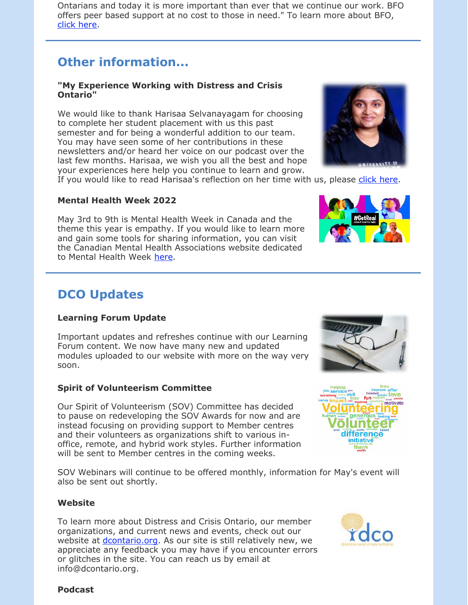Ontarians and today it is more important than ever that we continue our work. BFO offers peer based support at no cost to those in need." To learn more about BFO, [click here](https://bereavedfamilies.net/).

# **Other information...**

#### **"My Experience Working with Distress and Crisis Ontario"**

We would like to thank Harisaa Selvanayagam for choosing to complete her student placement with us this past semester and for being a wonderful addition to our team. You may have seen some of her contributions in these newsletters and/or heard her voice on our podcast over the last few months. Harisaa, we wish you all the best and hope your experiences here help you continue to learn and grow.



### **Mental Health Week 2022**

May 3rd to 9th is Mental Health Week in Canada and the theme this year is empathy. If you would like to learn more and gain some tools for sharing information, you can visit the Canadian Mental Health Associations website dedicated to Mental Health Week [here](https://www.mentalhealthweek.ca/).

# **DCO Updates**

### **Learning Forum Update**

Important updates and refreshes continue with our Learning Forum content. We now have many new and updated modules uploaded to our website with more on the way very soon.

### **Spirit of Volunteerism Committee**

Our Spirit of Volunteerism (SOV) Committee has decided to pause on redeveloping the SOV Awards for now and are instead focusing on providing support to Member centres and their volunteers as organizations shift to various inoffice, remote, and hybrid work styles. Further information will be sent to Member centres in the coming weeks.

SOV Webinars will continue to be offered monthly, information for May's event will also be sent out shortly.

### **Website**

To learn more about Distress and Crisis Ontario, our member organizations, and current news and events, check out our website at *dcontario.org*. As our site is still relatively new, we appreciate any feedback you may have if you encounter errors or glitches in the site. You can reach us by email at info@dcontario.org.